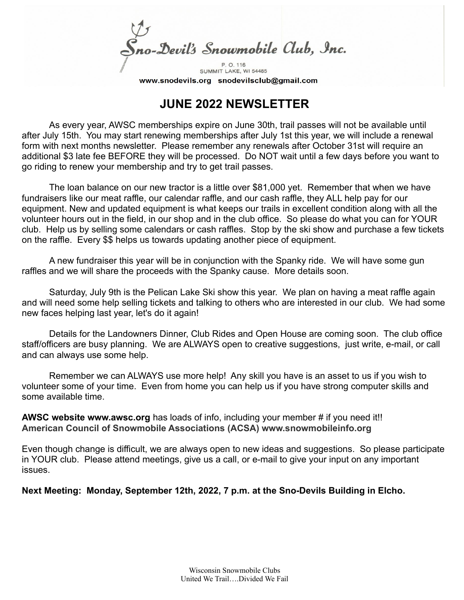Sno-Devil's Snowmobile Club, Inc. P. O. 116

SUMMIT LAKE, WI 54485 www.snodevils.org snodevilsclub@gmail.com

## **JUNE 2022 NEWSLETTER**

As every year, AWSC memberships expire on June 30th, trail passes will not be available until after July 15th. You may start renewing memberships after July 1st this year, we will include a renewal form with next months newsletter. Please remember any renewals after October 31st will require an additional \$3 late fee BEFORE they will be processed. Do NOT wait until a few days before you want to go riding to renew your membership and try to get trail passes.

The loan balance on our new tractor is a little over \$81,000 yet. Remember that when we have fundraisers like our meat raffle, our calendar raffle, and our cash raffle, they ALL help pay for our equipment. New and updated equipment is what keeps our trails in excellent condition along with all the volunteer hours out in the field, in our shop and in the club office. So please do what you can for YOUR club. Help us by selling some calendars or cash raffles. Stop by the ski show and purchase a few tickets on the raffle. Every \$\$ helps us towards updating another piece of equipment.

A new fundraiser this year will be in conjunction with the Spanky ride. We will have some gun raffles and we will share the proceeds with the Spanky cause. More details soon.

Saturday, July 9th is the Pelican Lake Ski show this year. We plan on having a meat raffle again and will need some help selling tickets and talking to others who are interested in our club. We had some new faces helping last year, let's do it again!

Details for the Landowners Dinner, Club Rides and Open House are coming soon. The club office staff/officers are busy planning. We are ALWAYS open to creative suggestions, just write, e-mail, or call and can always use some help.

Remember we can ALWAYS use more help! Any skill you have is an asset to us if you wish to volunteer some of your time. Even from home you can help us if you have strong computer skills and some available time.

**AWSC website www.awsc.org** has loads of info, including your member # if you need it!! **American Council of Snowmobile Associations (ACSA) www.snowmobileinfo.org**

Even though change is difficult, we are always open to new ideas and suggestions. So please participate in YOUR club. Please attend meetings, give us a call, or e-mail to give your input on any important issues.

**Next Meeting: Monday, September 12th, 2022, 7 p.m. at the Sno-Devils Building in Elcho.**